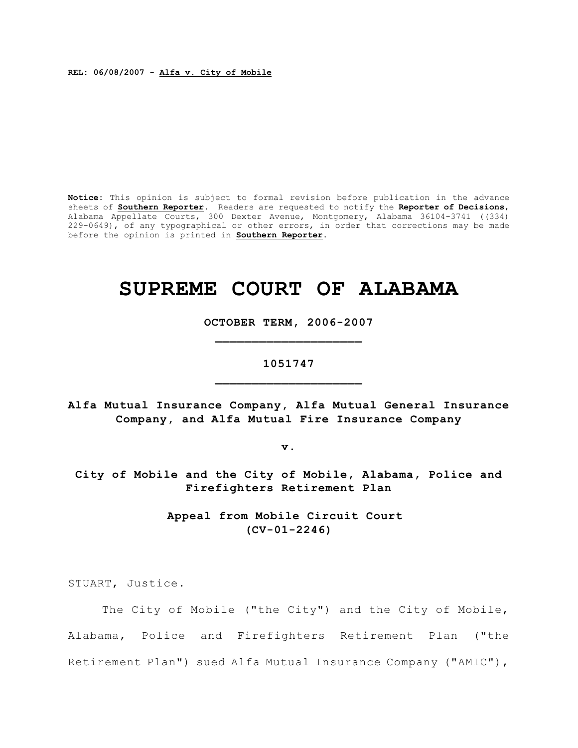**REL: 06/08/2007 - Alfa v. City of Mobile**

**Notice:** This opinion is subject to formal revision before publication in the advance sheets of **Southern Reporter**. Readers are requested to notify the **Reporter of Decisions**, Alabama Appellate Courts, 300 Dexter Avenue, Montgomery, Alabama 36104-3741 ((334) 229-0649), of any typographical or other errors, in order that corrections may be made before the opinion is printed in **Southern Reporter**.

# **SUPREME COURT OF ALABAMA**

**OCTOBER TERM, 2006-2007 \_\_\_\_\_\_\_\_\_\_\_\_\_\_\_\_\_\_\_\_**

# **1051747 \_\_\_\_\_\_\_\_\_\_\_\_\_\_\_\_\_\_\_\_**

**Alfa Mutual Insurance Company, Alfa Mutual General Insurance Company, and Alfa Mutual Fire Insurance Company**

**v.**

**City of Mobile and the City of Mobile, Alabama, Police and Firefighters Retirement Plan**

> **Appeal from Mobile Circuit Court (CV-01-2246)**

STUART, Justice.

The City of Mobile ("the City") and the City of Mobile, Alabama, Police and Firefighters Retirement Plan ("the Retirement Plan") sued Alfa Mutual Insurance Company ("AMIC"),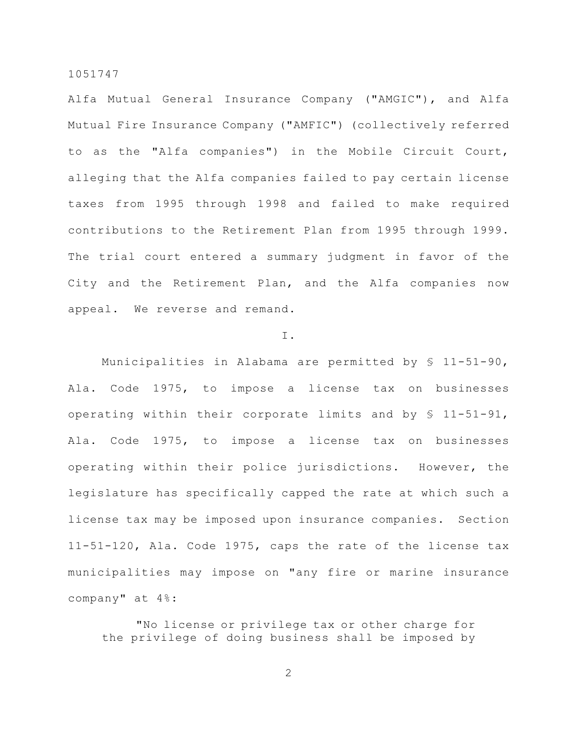Alfa Mutual General Insurance Company ("AMGIC"), and Alfa Mutual Fire Insurance Company ("AMFIC") (collectively referred to as the "Alfa companies") in the Mobile Circuit Court, alleging that the Alfa companies failed to pay certain license taxes from 1995 through 1998 and failed to make required contributions to the Retirement Plan from 1995 through 1999. The trial court entered a summary judgment in favor of the City and the Retirement Plan, and the Alfa companies now appeal. We reverse and remand.

#### I.

Municipalities in Alabama are permitted by § 11-51-90, Ala. Code 1975, to impose a license tax on businesses operating within their corporate limits and by § 11-51-91, Ala. Code 1975, to impose a license tax on businesses operating within their police jurisdictions. However, the legislature has specifically capped the rate at which such a license tax may be imposed upon insurance companies. Section 11-51-120, Ala. Code 1975, caps the rate of the license tax municipalities may impose on "any fire or marine insurance company" at 4%:

"No license or privilege tax or other charge for the privilege of doing business shall be imposed by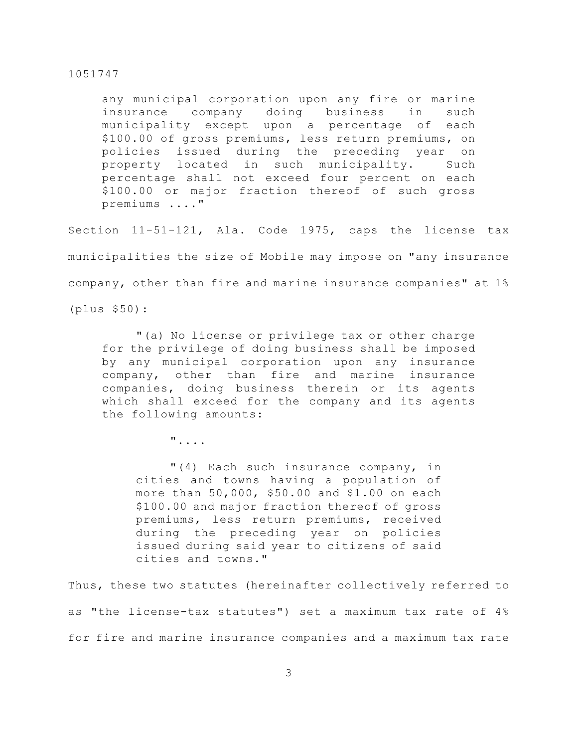any municipal corporation upon any fire or marine insurance company doing business in such municipality except upon a percentage of each \$100.00 of gross premiums, less return premiums, on policies issued during the preceding year on property located in such municipality. Such percentage shall not exceed four percent on each \$100.00 or major fraction thereof of such gross premiums ...."

Section 11-51-121, Ala. Code 1975, caps the license tax municipalities the size of Mobile may impose on "any insurance company, other than fire and marine insurance companies" at 1% (plus \$50):

"(a) No license or privilege tax or other charge for the privilege of doing business shall be imposed by any municipal corporation upon any insurance company, other than fire and marine insurance companies, doing business therein or its agents which shall exceed for the company and its agents the following amounts:

"....

"(4) Each such insurance company, in cities and towns having a population of more than 50,000, \$50.00 and \$1.00 on each \$100.00 and major fraction thereof of gross premiums, less return premiums, received during the preceding year on policies issued during said year to citizens of said cities and towns."

Thus, these two statutes (hereinafter collectively referred to as "the license-tax statutes") set a maximum tax rate of 4% for fire and marine insurance companies and a maximum tax rate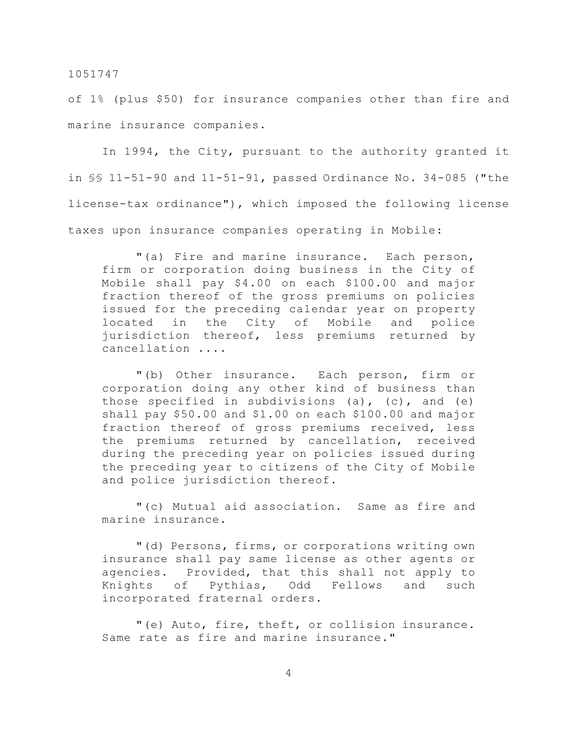of 1% (plus \$50) for insurance companies other than fire and marine insurance companies.

In 1994, the City, pursuant to the authority granted it in §§ 11-51-90 and 11-51-91, passed Ordinance No. 34-085 ("the license-tax ordinance"), which imposed the following license taxes upon insurance companies operating in Mobile:

"(a) Fire and marine insurance. Each person, firm or corporation doing business in the City of Mobile shall pay \$4.00 on each \$100.00 and major fraction thereof of the gross premiums on policies issued for the preceding calendar year on property located in the City of Mobile and police jurisdiction thereof, less premiums returned by cancellation ....

"(b) Other insurance. Each person, firm or corporation doing any other kind of business than those specified in subdivisions (a),  $(c)$ , and  $(e)$ shall pay \$50.00 and \$1.00 on each \$100.00 and major fraction thereof of gross premiums received, less the premiums returned by cancellation, received during the preceding year on policies issued during the preceding year to citizens of the City of Mobile and police jurisdiction thereof.

"(c) Mutual aid association. Same as fire and marine insurance.

"(d) Persons, firms, or corporations writing own insurance shall pay same license as other agents or agencies. Provided, that this shall not apply to Knights of Pythias, Odd Fellows and such incorporated fraternal orders.

"(e) Auto, fire, theft, or collision insurance. Same rate as fire and marine insurance."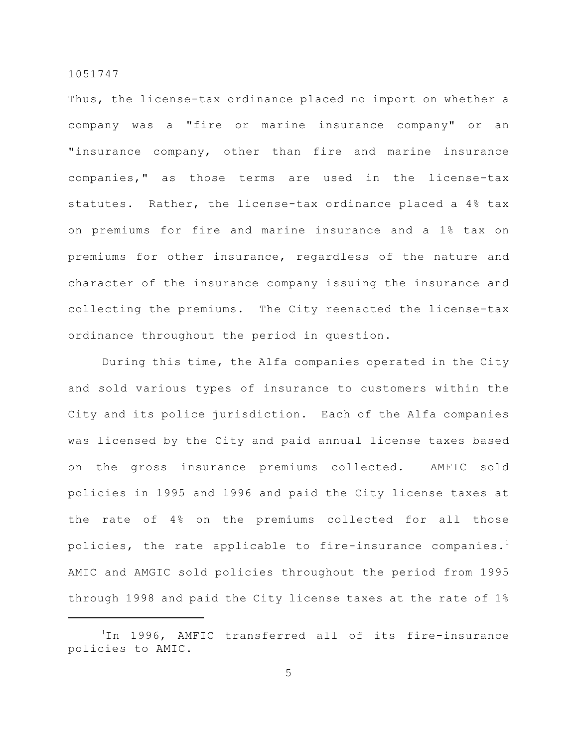Thus, the license-tax ordinance placed no import on whether a company was a "fire or marine insurance company" or an "insurance company, other than fire and marine insurance companies," as those terms are used in the license-tax statutes. Rather, the license-tax ordinance placed a 4% tax on premiums for fire and marine insurance and a 1% tax on premiums for other insurance, regardless of the nature and character of the insurance company issuing the insurance and collecting the premiums. The City reenacted the license-tax ordinance throughout the period in question.

During this time, the Alfa companies operated in the City and sold various types of insurance to customers within the City and its police jurisdiction. Each of the Alfa companies was licensed by the City and paid annual license taxes based on the gross insurance premiums collected. AMFIC sold policies in 1995 and 1996 and paid the City license taxes at the rate of 4% on the premiums collected for all those policies, the rate applicable to fire-insurance companies.<sup>1</sup> AMIC and AMGIC sold policies throughout the period from 1995 through 1998 and paid the City license taxes at the rate of 1%

 $1$ In 1996, AMFIC transferred all of its fire-insurance policies to AMIC.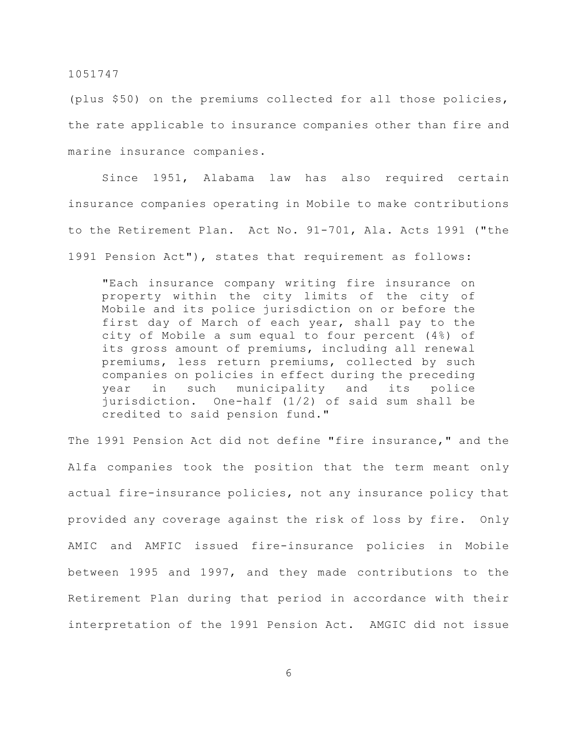(plus \$50) on the premiums collected for all those policies, the rate applicable to insurance companies other than fire and marine insurance companies.

Since 1951, Alabama law has also required certain insurance companies operating in Mobile to make contributions to the Retirement Plan. Act No. 91-701, Ala. Acts 1991 ("the 1991 Pension Act"), states that requirement as follows:

"Each insurance company writing fire insurance on property within the city limits of the city of Mobile and its police jurisdiction on or before the first day of March of each year, shall pay to the city of Mobile a sum equal to four percent (4%) of its gross amount of premiums, including all renewal premiums, less return premiums, collected by such companies on policies in effect during the preceding year in such municipality and its police jurisdiction. One-half (1/2) of said sum shall be credited to said pension fund."

The 1991 Pension Act did not define "fire insurance," and the Alfa companies took the position that the term meant only actual fire-insurance policies, not any insurance policy that provided any coverage against the risk of loss by fire. Only AMIC and AMFIC issued fire-insurance policies in Mobile between 1995 and 1997, and they made contributions to the Retirement Plan during that period in accordance with their interpretation of the 1991 Pension Act. AMGIC did not issue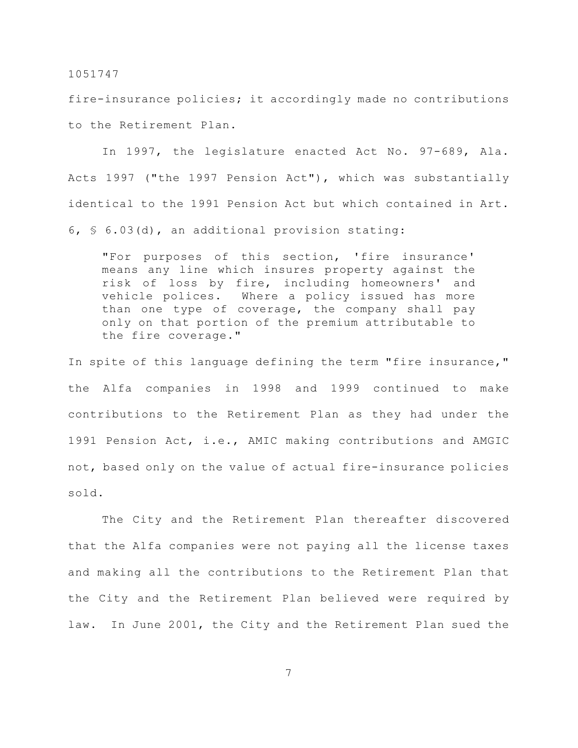fire-insurance policies; it accordingly made no contributions to the Retirement Plan.

In 1997, the legislature enacted Act No. 97-689, Ala. Acts 1997 ("the 1997 Pension Act"), which was substantially identical to the 1991 Pension Act but which contained in Art. 6, § 6.03(d), an additional provision stating:

"For purposes of this section, 'fire insurance' means any line which insures property against the risk of loss by fire, including homeowners' and vehicle polices. Where a policy issued has more than one type of coverage, the company shall pay only on that portion of the premium attributable to the fire coverage."

In spite of this language defining the term "fire insurance," the Alfa companies in 1998 and 1999 continued to make contributions to the Retirement Plan as they had under the 1991 Pension Act, i.e., AMIC making contributions and AMGIC not, based only on the value of actual fire-insurance policies sold.

The City and the Retirement Plan thereafter discovered that the Alfa companies were not paying all the license taxes and making all the contributions to the Retirement Plan that the City and the Retirement Plan believed were required by law. In June 2001, the City and the Retirement Plan sued the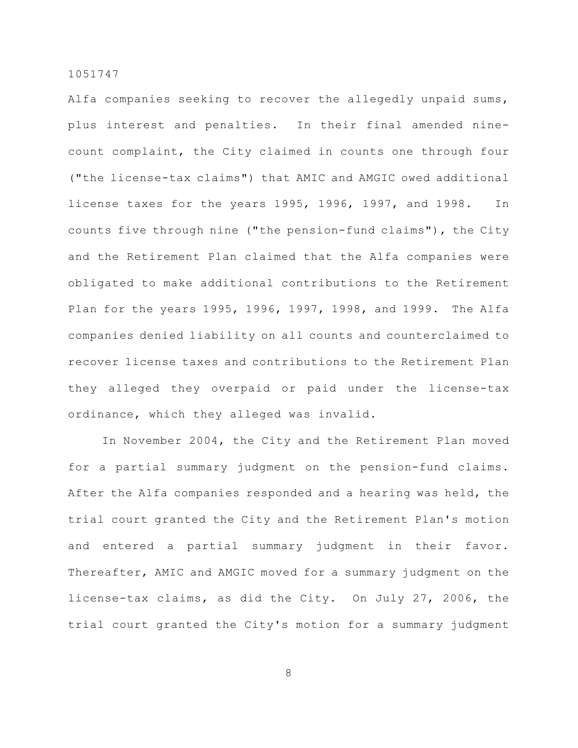Alfa companies seeking to recover the allegedly unpaid sums, plus interest and penalties. In their final amended ninecount complaint, the City claimed in counts one through four ("the license-tax claims") that AMIC and AMGIC owed additional license taxes for the years 1995, 1996, 1997, and 1998. In counts five through nine ("the pension-fund claims"), the City and the Retirement Plan claimed that the Alfa companies were obligated to make additional contributions to the Retirement Plan for the years 1995, 1996, 1997, 1998, and 1999. The Alfa companies denied liability on all counts and counterclaimed to recover license taxes and contributions to the Retirement Plan they alleged they overpaid or paid under the license-tax ordinance, which they alleged was invalid.

In November 2004, the City and the Retirement Plan moved for a partial summary judgment on the pension-fund claims. After the Alfa companies responded and a hearing was held, the trial court granted the City and the Retirement Plan's motion and entered a partial summary judgment in their favor. Thereafter, AMIC and AMGIC moved for a summary judgment on the license-tax claims, as did the City. On July 27, 2006, the trial court granted the City's motion for a summary judgment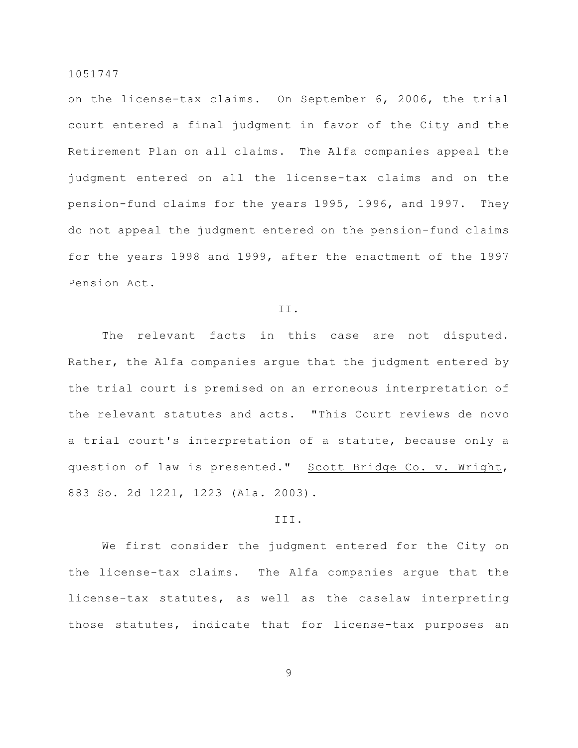on the license-tax claims. On September 6, 2006, the trial court entered a final judgment in favor of the City and the Retirement Plan on all claims. The Alfa companies appeal the judgment entered on all the license-tax claims and on the pension-fund claims for the years 1995, 1996, and 1997. They do not appeal the judgment entered on the pension-fund claims for the years 1998 and 1999, after the enactment of the 1997 Pension Act.

## II.

The relevant facts in this case are not disputed. Rather, the Alfa companies argue that the judgment entered by the trial court is premised on an erroneous interpretation of the relevant statutes and acts. "This Court reviews de novo a trial court's interpretation of a statute, because only a question of law is presented." Scott Bridge Co. v. Wright, 883 So. 2d 1221, 1223 (Ala. 2003).

## III.

We first consider the judgment entered for the City on the license-tax claims. The Alfa companies argue that the license-tax statutes, as well as the caselaw interpreting those statutes, indicate that for license-tax purposes an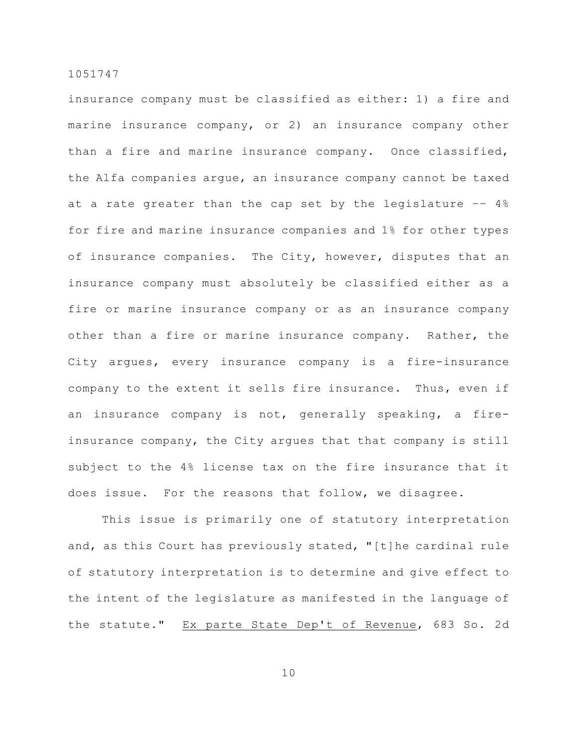insurance company must be classified as either: 1) a fire and marine insurance company, or 2) an insurance company other than a fire and marine insurance company. Once classified, the Alfa companies argue, an insurance company cannot be taxed at a rate greater than the cap set by the legislature –– 4% for fire and marine insurance companies and 1% for other types of insurance companies. The City, however, disputes that an insurance company must absolutely be classified either as a fire or marine insurance company or as an insurance company other than a fire or marine insurance company. Rather, the City argues, every insurance company is a fire-insurance company to the extent it sells fire insurance. Thus, even if an insurance company is not, generally speaking, a fireinsurance company, the City argues that that company is still subject to the 4% license tax on the fire insurance that it does issue. For the reasons that follow, we disagree.

This issue is primarily one of statutory interpretation and, as this Court has previously stated, "[t]he cardinal rule of statutory interpretation is to determine and give effect to the intent of the legislature as manifested in the language of the statute." Ex parte State Dep't of Revenue, 683 So. 2d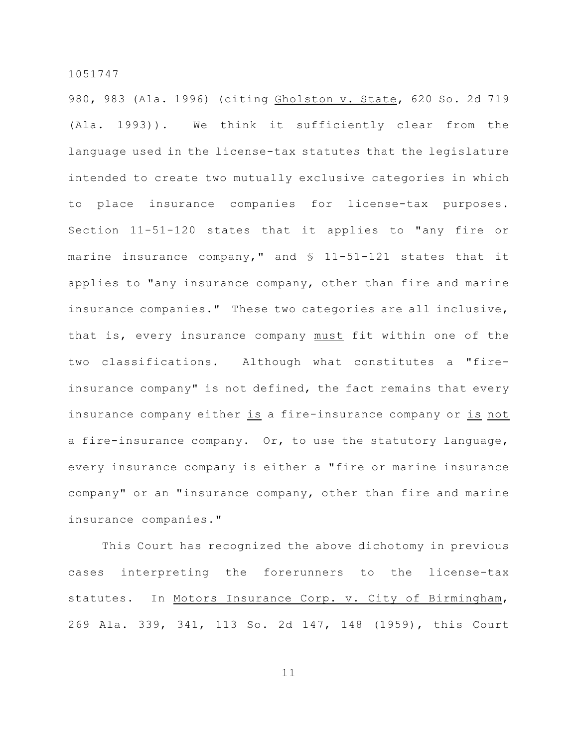980, 983 (Ala. 1996) (citing Gholston v. State, 620 So. 2d 719 (Ala. 1993)). We think it sufficiently clear from the language used in the license-tax statutes that the legislature intended to create two mutually exclusive categories in which to place insurance companies for license-tax purposes. Section 11-51-120 states that it applies to "any fire or marine insurance company," and  $\text{\$}$  11-51-121 states that it applies to "any insurance company, other than fire and marine insurance companies." These two categories are all inclusive, that is, every insurance company must fit within one of the two classifications. Although what constitutes a "fireinsurance company" is not defined, the fact remains that every insurance company either is a fire-insurance company or is not a fire-insurance company. Or, to use the statutory language, every insurance company is either a "fire or marine insurance company" or an "insurance company, other than fire and marine insurance companies."

This Court has recognized the above dichotomy in previous cases interpreting the forerunners to the license-tax statutes. In Motors Insurance Corp. v. City of Birmingham, 269 Ala. 339, 341, 113 So. 2d 147, 148 (1959), this Court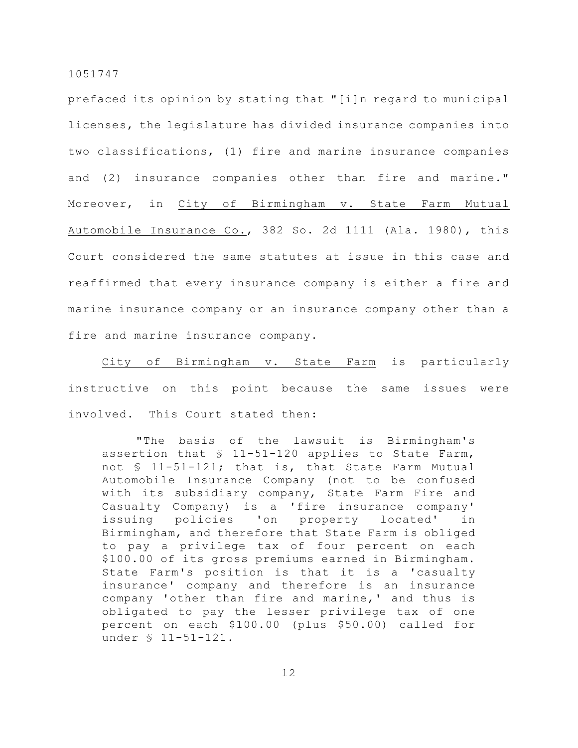prefaced its opinion by stating that "[i]n regard to municipal licenses, the legislature has divided insurance companies into two classifications, (1) fire and marine insurance companies and (2) insurance companies other than fire and marine." Moreover, in City of Birmingham v. State Farm Mutual Automobile Insurance Co., 382 So. 2d 1111 (Ala. 1980), this Court considered the same statutes at issue in this case and reaffirmed that every insurance company is either a fire and marine insurance company or an insurance company other than a fire and marine insurance company.

City of Birmingham v. State Farm is particularly instructive on this point because the same issues were involved. This Court stated then:

"The basis of the lawsuit is Birmingham's assertion that § 11-51-120 applies to State Farm, not § 11-51-121; that is, that State Farm Mutual Automobile Insurance Company (not to be confused with its subsidiary company, State Farm Fire and Casualty Company) is a 'fire insurance company' issuing policies 'on property located' in Birmingham, and therefore that State Farm is obliged to pay a privilege tax of four percent on each \$100.00 of its gross premiums earned in Birmingham. State Farm's position is that it is a 'casualty insurance' company and therefore is an insurance company 'other than fire and marine,' and thus is obligated to pay the lesser privilege tax of one percent on each \$100.00 (plus \$50.00) called for under § 11-51-121.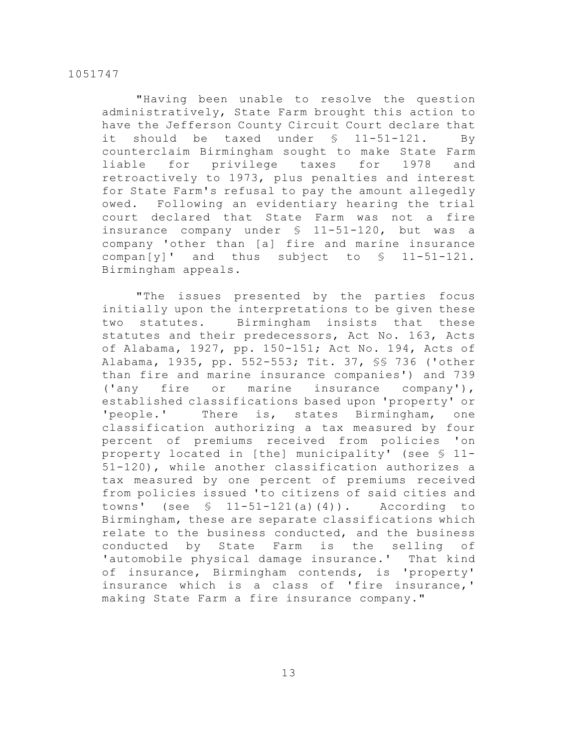"Having been unable to resolve the question administratively, State Farm brought this action to have the Jefferson County Circuit Court declare that it should be taxed under § 11-51-121. By counterclaim Birmingham sought to make State Farm liable for privilege taxes for 1978 and retroactively to 1973, plus penalties and interest for State Farm's refusal to pay the amount allegedly owed. Following an evidentiary hearing the trial court declared that State Farm was not a fire insurance company under § 11-51-120, but was a company 'other than [a] fire and marine insurance compan[y]' and thus subject to  $\S$  11-51-121. Birmingham appeals.

"The issues presented by the parties focus initially upon the interpretations to be given these two statutes. Birmingham insists that these statutes and their predecessors, Act No. 163, Acts of Alabama, 1927, pp. 150-151; Act No. 194, Acts of Alabama, 1935, pp. 552-553; Tit. 37, §§ 736 ('other than fire and marine insurance companies') and 739 ('any fire or marine insurance company'), established classifications based upon 'property' or 'people.' There is, states Birmingham, one classification authorizing a tax measured by four percent of premiums received from policies 'on property located in [the] municipality' (see § 11- 51-120), while another classification authorizes a tax measured by one percent of premiums received from policies issued 'to citizens of said cities and towns' (see  $\frac{11-51-121(a)(4)}{a}$ . According to Birmingham, these are separate classifications which relate to the business conducted, and the business conducted by State Farm is the selling of 'automobile physical damage insurance.' That kind of insurance, Birmingham contends, is 'property' insurance which is a class of 'fire insurance,' making State Farm a fire insurance company."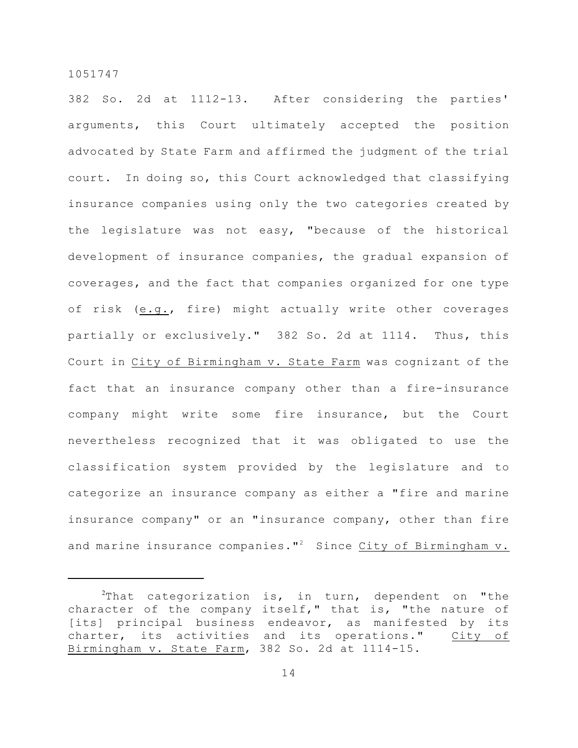382 So. 2d at 1112-13. After considering the parties' arguments, this Court ultimately accepted the position advocated by State Farm and affirmed the judgment of the trial court. In doing so, this Court acknowledged that classifying insurance companies using only the two categories created by the legislature was not easy, "because of the historical development of insurance companies, the gradual expansion of coverages, and the fact that companies organized for one type of risk (e.g., fire) might actually write other coverages partially or exclusively." 382 So. 2d at 1114. Thus, this Court in City of Birmingham v. State Farm was cognizant of the fact that an insurance company other than a fire-insurance company might write some fire insurance, but the Court nevertheless recognized that it was obligated to use the classification system provided by the legislature and to categorize an insurance company as either a "fire and marine insurance company" or an "insurance company, other than fire and marine insurance companies."<sup>2</sup> Since City of Birmingham v.

 $2$ That categorization is, in turn, dependent on "the character of the company itself," that is, "the nature of [its] principal business endeavor, as manifested by its charter, its activities and its operations." City of Birmingham v. State Farm, 382 So. 2d at 1114-15.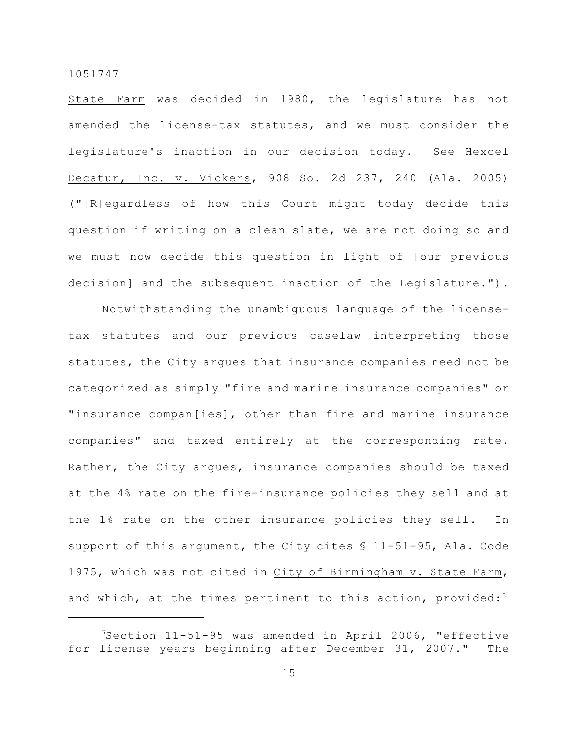State Farm was decided in 1980, the legislature has not amended the license-tax statutes, and we must consider the legislature's inaction in our decision today. See Hexcel Decatur, Inc. v. Vickers, 908 So. 2d 237, 240 (Ala. 2005) ("[R]egardless of how this Court might today decide this question if writing on a clean slate, we are not doing so and we must now decide this question in light of [our previous decision] and the subsequent inaction of the Legislature.").

Notwithstanding the unambiguous language of the licensetax statutes and our previous caselaw interpreting those statutes, the City argues that insurance companies need not be categorized as simply "fire and marine insurance companies" or "insurance compan[ies], other than fire and marine insurance companies" and taxed entirely at the corresponding rate. Rather, the City argues, insurance companies should be taxed at the 4% rate on the fire-insurance policies they sell and at the 1% rate on the other insurance policies they sell. In support of this argument, the City cites  $$11-51-95$ , Ala. Code 1975, which was not cited in City of Birmingham v. State Farm, and which, at the times pertinent to this action, provided:<sup>3</sup>

 $3$ Section 11-51-95 was amended in April 2006, "effective for license years beginning after December 31, 2007." The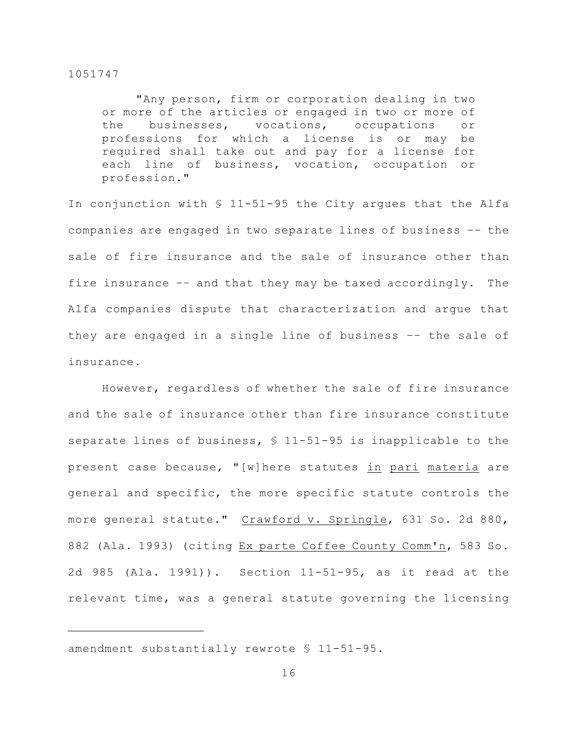"Any person, firm or corporation dealing in two or more of the articles or engaged in two or more of the businesses, vocations, occupations or professions for which a license is or may be required shall take out and pay for a license for each line of business, vocation, occupation or profession."

In conjunction with § 11-51-95 the City argues that the Alfa companies are engaged in two separate lines of business –– the sale of fire insurance and the sale of insurance other than fire insurance –– and that they may be taxed accordingly. The Alfa companies dispute that characterization and argue that they are engaged in a single line of business –– the sale of insurance.

However, regardless of whether the sale of fire insurance and the sale of insurance other than fire insurance constitute separate lines of business,  $$11-51-95$  is inapplicable to the present case because, "[w]here statutes in pari materia are general and specific, the more specific statute controls the more general statute." Crawford v. Springle, 631 So. 2d 880, 882 (Ala. 1993) (citing Ex parte Coffee County Comm'n, 583 So. 2d 985 (Ala. 1991)). Section 11-51-95, as it read at the relevant time, was a general statute governing the licensing

amendment substantially rewrote § 11-51-95.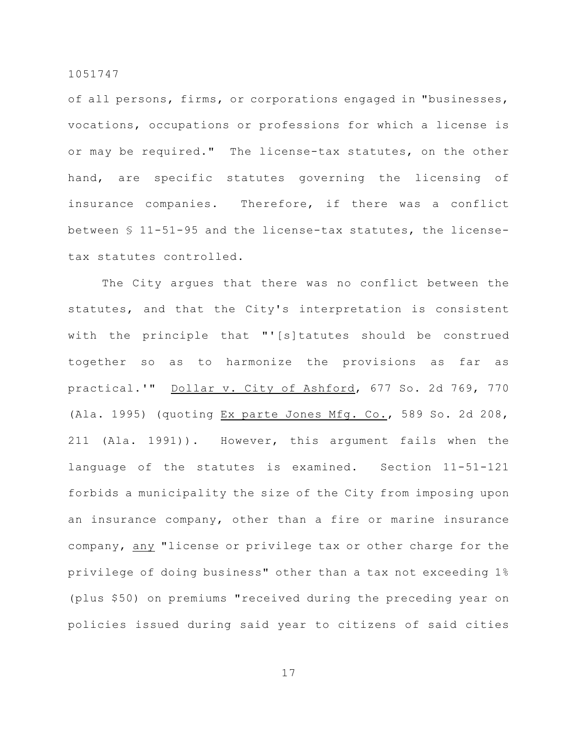of all persons, firms, or corporations engaged in "businesses, vocations, occupations or professions for which a license is or may be required." The license-tax statutes, on the other hand, are specific statutes governing the licensing of insurance companies. Therefore, if there was a conflict between § 11-51-95 and the license-tax statutes, the licensetax statutes controlled.

The City argues that there was no conflict between the statutes, and that the City's interpretation is consistent with the principle that "'[s]tatutes should be construed together so as to harmonize the provisions as far as practical.'" Dollar v. City of Ashford, 677 So. 2d 769, 770 (Ala. 1995) (quoting Ex parte Jones Mfg. Co., 589 So. 2d 208, 211 (Ala. 1991)). However, this argument fails when the language of the statutes is examined. Section 11-51-121 forbids a municipality the size of the City from imposing upon an insurance company, other than a fire or marine insurance company, any "license or privilege tax or other charge for the privilege of doing business" other than a tax not exceeding 1% (plus \$50) on premiums "received during the preceding year on policies issued during said year to citizens of said cities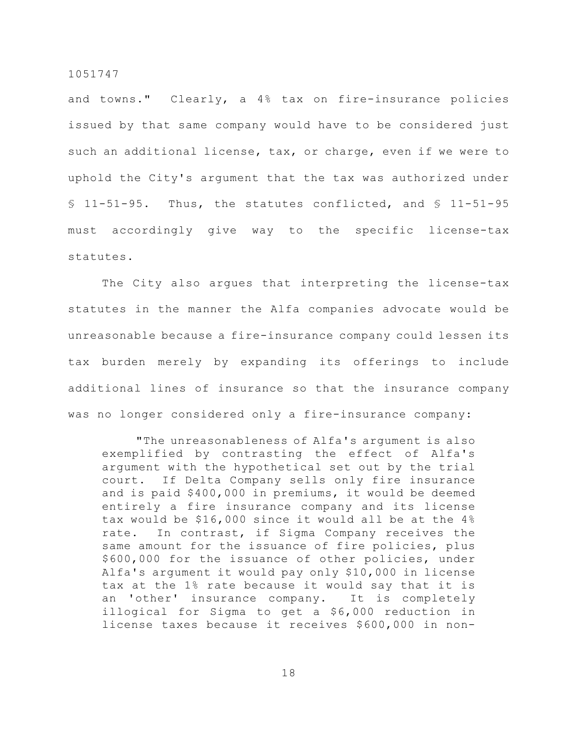and towns." Clearly, a 4% tax on fire-insurance policies issued by that same company would have to be considered just such an additional license, tax, or charge, even if we were to uphold the City's argument that the tax was authorized under  $$ 11-51-95.$  Thus, the statutes conflicted, and  $$ 11-51-95$ must accordingly give way to the specific license-tax statutes.

The City also argues that interpreting the license-tax statutes in the manner the Alfa companies advocate would be unreasonable because a fire-insurance company could lessen its tax burden merely by expanding its offerings to include additional lines of insurance so that the insurance company was no longer considered only a fire-insurance company:

"The unreasonableness of Alfa's argument is also exemplified by contrasting the effect of Alfa's argument with the hypothetical set out by the trial court. If Delta Company sells only fire insurance and is paid \$400,000 in premiums, it would be deemed entirely a fire insurance company and its license tax would be \$16,000 since it would all be at the 4% rate. In contrast, if Sigma Company receives the same amount for the issuance of fire policies, plus \$600,000 for the issuance of other policies, under Alfa's argument it would pay only \$10,000 in license tax at the 1% rate because it would say that it is an 'other' insurance company. It is completely illogical for Sigma to get a \$6,000 reduction in license taxes because it receives \$600,000 in non-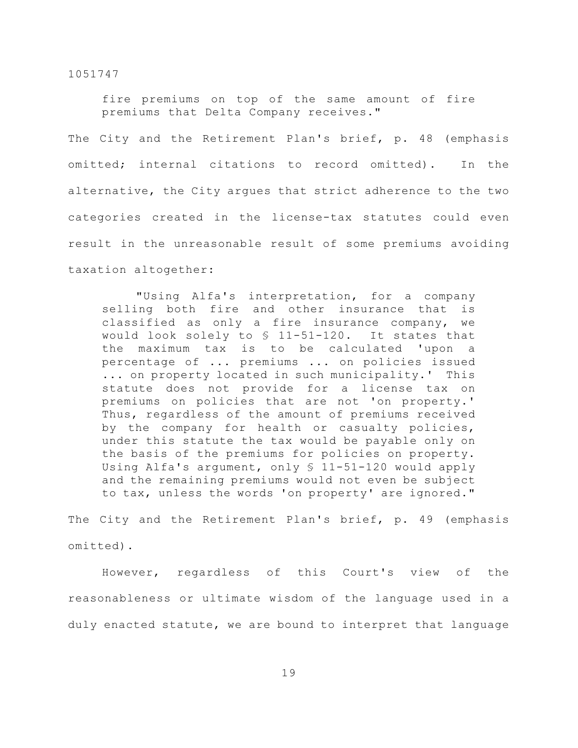fire premiums on top of the same amount of fire premiums that Delta Company receives."

The City and the Retirement Plan's brief, p. 48 (emphasis omitted; internal citations to record omitted). In the alternative, the City argues that strict adherence to the two categories created in the license-tax statutes could even result in the unreasonable result of some premiums avoiding taxation altogether:

"Using Alfa's interpretation, for a company selling both fire and other insurance that is classified as only a fire insurance company, we would look solely to § 11-51-120. It states that the maximum tax is to be calculated 'upon a percentage of ... premiums ... on policies issued ... on property located in such municipality.' This statute does not provide for a license tax on premiums on policies that are not 'on property.' Thus, regardless of the amount of premiums received by the company for health or casualty policies, under this statute the tax would be payable only on the basis of the premiums for policies on property. Using Alfa's argument, only § 11-51-120 would apply and the remaining premiums would not even be subject to tax, unless the words 'on property' are ignored."

The City and the Retirement Plan's brief, p. 49 (emphasis omitted).

However, regardless of this Court's view of the reasonableness or ultimate wisdom of the language used in a duly enacted statute, we are bound to interpret that language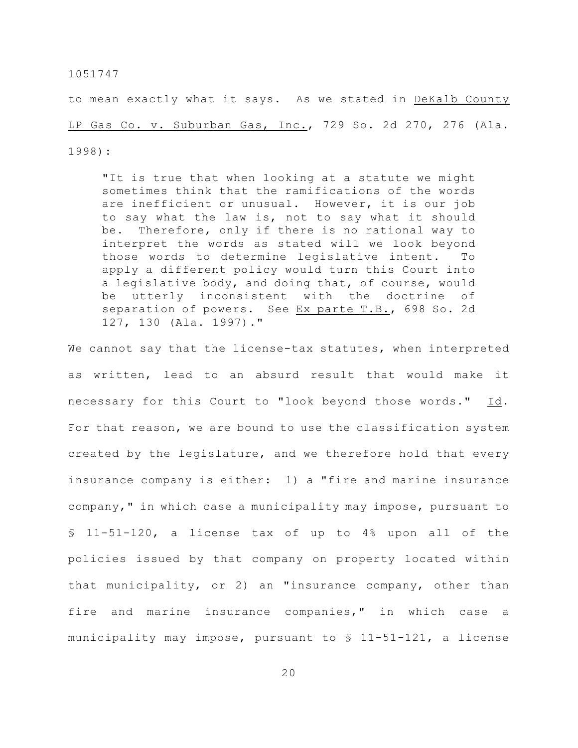to mean exactly what it says. As we stated in DeKalb County LP Gas Co. v. Suburban Gas, Inc., 729 So. 2d 270, 276 (Ala. 1998):

"It is true that when looking at a statute we might sometimes think that the ramifications of the words are inefficient or unusual. However, it is our job to say what the law is, not to say what it should be. Therefore, only if there is no rational way to interpret the words as stated will we look beyond those words to determine legislative intent. To apply a different policy would turn this Court into a legislative body, and doing that, of course, would be utterly inconsistent with the doctrine of separation of powers. See Ex parte T.B., 698 So. 2d 127, 130 (Ala. 1997)."

We cannot say that the license-tax statutes, when interpreted as written, lead to an absurd result that would make it necessary for this Court to "look beyond those words." Id. For that reason, we are bound to use the classification system created by the legislature, and we therefore hold that every insurance company is either: 1) a "fire and marine insurance company," in which case a municipality may impose, pursuant to § 11-51-120, a license tax of up to 4% upon all of the policies issued by that company on property located within that municipality, or 2) an "insurance company, other than fire and marine insurance companies," in which case a municipality may impose, pursuant to § 11-51-121, a license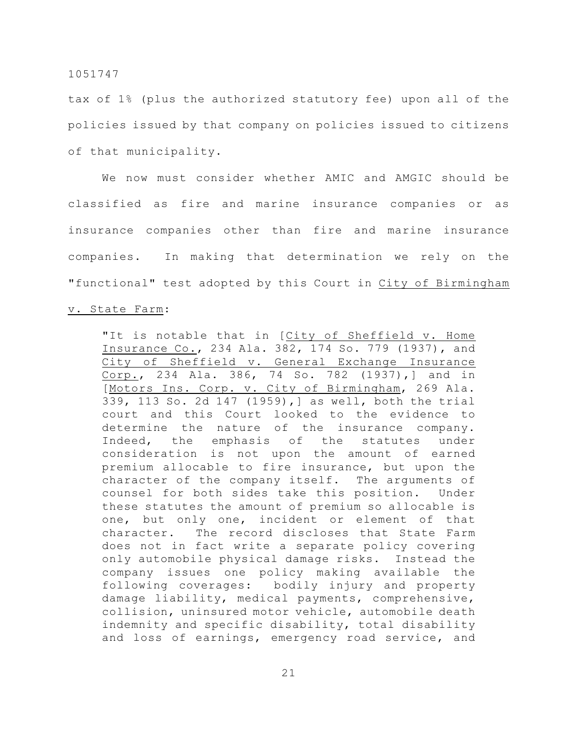tax of 1% (plus the authorized statutory fee) upon all of the policies issued by that company on policies issued to citizens of that municipality.

We now must consider whether AMIC and AMGIC should be classified as fire and marine insurance companies or as insurance companies other than fire and marine insurance companies. In making that determination we rely on the "functional" test adopted by this Court in City of Birmingham

#### v. State Farm:

"It is notable that in [City of Sheffield v. Home Insurance Co., 234 Ala. 382, 174 So. 779 (1937), and City of Sheffield v. General Exchange Insurance Corp., 234 Ala. 386, 74 So. 782 (1937),] and in [Motors Ins. Corp. v. City of Birmingham, 269 Ala. 339, 113 So. 2d 147 (1959),] as well, both the trial court and this Court looked to the evidence to determine the nature of the insurance company. Indeed, the emphasis of the statutes under consideration is not upon the amount of earned premium allocable to fire insurance, but upon the character of the company itself. The arguments of counsel for both sides take this position. Under these statutes the amount of premium so allocable is one, but only one, incident or element of that character. The record discloses that State Farm does not in fact write a separate policy covering only automobile physical damage risks. Instead the company issues one policy making available the following coverages: bodily injury and property damage liability, medical payments, comprehensive, collision, uninsured motor vehicle, automobile death indemnity and specific disability, total disability and loss of earnings, emergency road service, and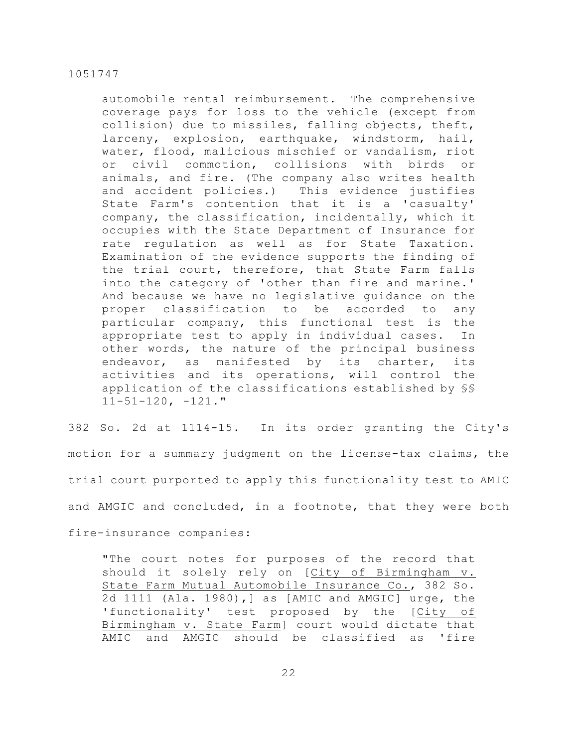automobile rental reimbursement. The comprehensive coverage pays for loss to the vehicle (except from collision) due to missiles, falling objects, theft, larceny, explosion, earthquake, windstorm, hail, water, flood, malicious mischief or vandalism, riot or civil commotion, collisions with birds or animals, and fire. (The company also writes health and accident policies.) This evidence justifies State Farm's contention that it is a 'casualty' company, the classification, incidentally, which it occupies with the State Department of Insurance for rate regulation as well as for State Taxation. Examination of the evidence supports the finding of the trial court, therefore, that State Farm falls into the category of 'other than fire and marine.' And because we have no legislative guidance on the proper classification to be accorded to any particular company, this functional test is the appropriate test to apply in individual cases. In other words, the nature of the principal business endeavor, as manifested by its charter, its activities and its operations, will control the application of the classifications established by §§  $11-51-120$ ,  $-121$ ."

382 So. 2d at 1114-15. In its order granting the City's motion for a summary judgment on the license-tax claims, the trial court purported to apply this functionality test to AMIC and AMGIC and concluded, in a footnote, that they were both fire-insurance companies:

"The court notes for purposes of the record that should it solely rely on [City of Birmingham v. State Farm Mutual Automobile Insurance Co., 382 So. 2d 1111 (Ala. 1980),] as [AMIC and AMGIC] urge, the 'functionality' test proposed by the [City of Birmingham v. State Farm] court would dictate that AMIC and AMGIC should be classified as 'fire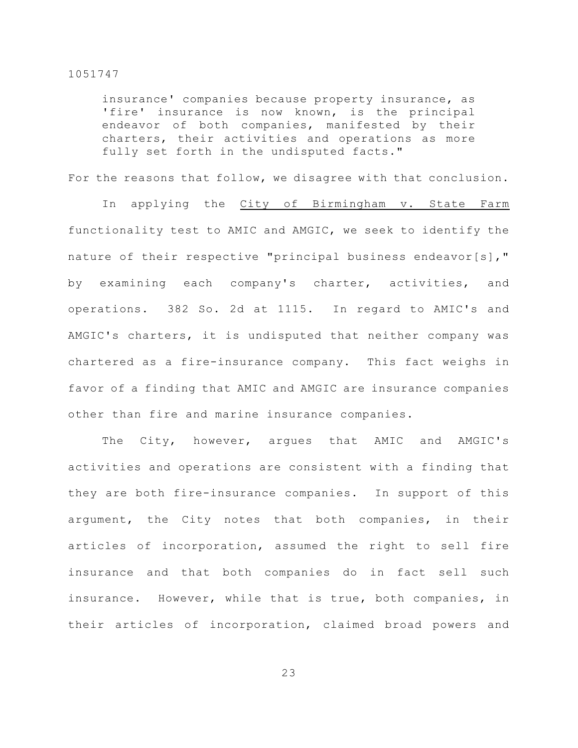insurance' companies because property insurance, as 'fire' insurance is now known, is the principal endeavor of both companies, manifested by their charters, their activities and operations as more fully set forth in the undisputed facts."

For the reasons that follow, we disagree with that conclusion.

In applying the City of Birmingham v. State Farm functionality test to AMIC and AMGIC, we seek to identify the nature of their respective "principal business endeavor[s]," by examining each company's charter, activities, and operations. 382 So. 2d at 1115. In regard to AMIC's and AMGIC's charters, it is undisputed that neither company was chartered as a fire-insurance company. This fact weighs in favor of a finding that AMIC and AMGIC are insurance companies other than fire and marine insurance companies.

The City, however, argues that AMIC and AMGIC's activities and operations are consistent with a finding that they are both fire-insurance companies. In support of this argument, the City notes that both companies, in their articles of incorporation, assumed the right to sell fire insurance and that both companies do in fact sell such insurance. However, while that is true, both companies, in their articles of incorporation, claimed broad powers and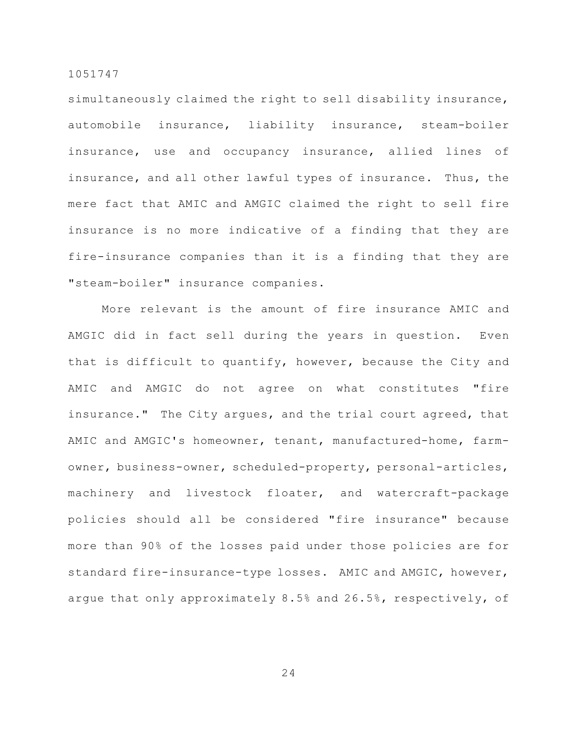simultaneously claimed the right to sell disability insurance, automobile insurance, liability insurance, steam-boiler insurance, use and occupancy insurance, allied lines of insurance, and all other lawful types of insurance. Thus, the mere fact that AMIC and AMGIC claimed the right to sell fire insurance is no more indicative of a finding that they are fire-insurance companies than it is a finding that they are "steam-boiler" insurance companies.

More relevant is the amount of fire insurance AMIC and AMGIC did in fact sell during the years in question. Even that is difficult to quantify, however, because the City and AMIC and AMGIC do not agree on what constitutes "fire insurance." The City argues, and the trial court agreed, that AMIC and AMGIC's homeowner, tenant, manufactured-home, farmowner, business-owner, scheduled-property, personal-articles, machinery and livestock floater, and watercraft-package policies should all be considered "fire insurance" because more than 90% of the losses paid under those policies are for standard fire-insurance-type losses. AMIC and AMGIC, however, argue that only approximately 8.5% and 26.5%, respectively, of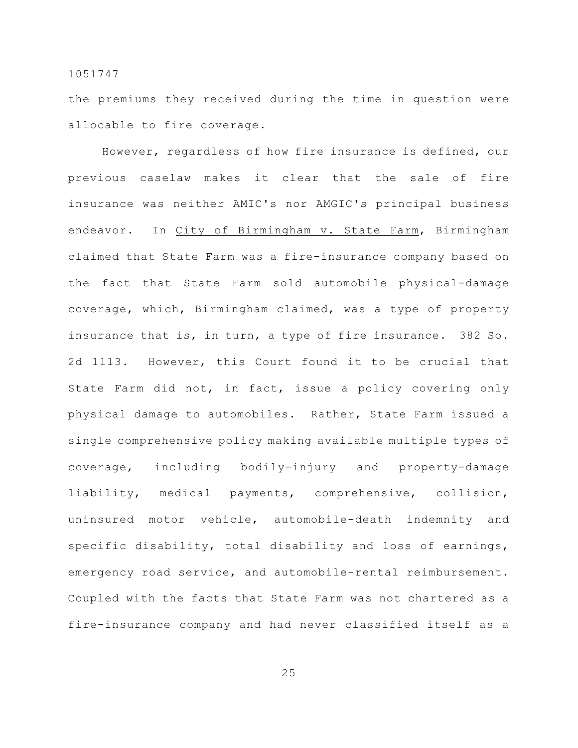the premiums they received during the time in question were allocable to fire coverage.

However, regardless of how fire insurance is defined, our previous caselaw makes it clear that the sale of fire insurance was neither AMIC's nor AMGIC's principal business endeavor. In City of Birmingham v. State Farm, Birmingham claimed that State Farm was a fire-insurance company based on the fact that State Farm sold automobile physical-damage coverage, which, Birmingham claimed, was a type of property insurance that is, in turn, a type of fire insurance. 382 So. 2d 1113. However, this Court found it to be crucial that State Farm did not, in fact, issue a policy covering only physical damage to automobiles. Rather, State Farm issued a single comprehensive policy making available multiple types of coverage, including bodily-injury and property-damage liability, medical payments, comprehensive, collision, uninsured motor vehicle, automobile-death indemnity and specific disability, total disability and loss of earnings, emergency road service, and automobile-rental reimbursement. Coupled with the facts that State Farm was not chartered as a fire-insurance company and had never classified itself as a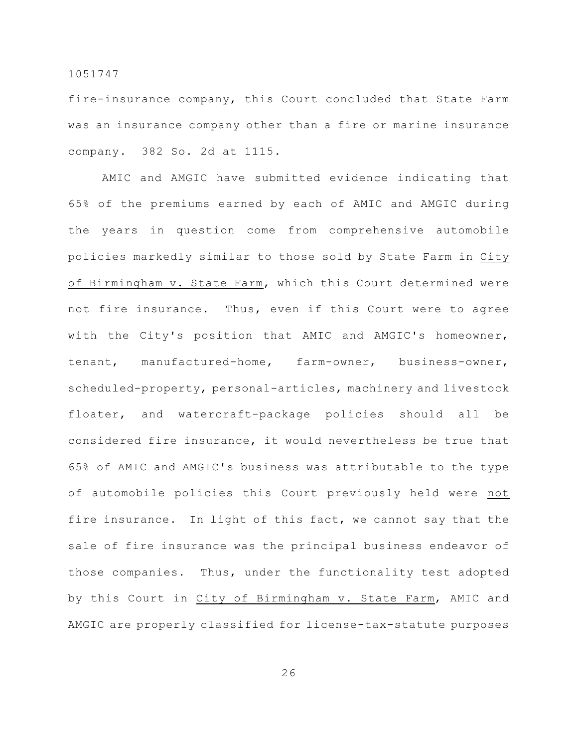fire-insurance company, this Court concluded that State Farm was an insurance company other than a fire or marine insurance company. 382 So. 2d at 1115.

AMIC and AMGIC have submitted evidence indicating that 65% of the premiums earned by each of AMIC and AMGIC during the years in question come from comprehensive automobile policies markedly similar to those sold by State Farm in City of Birmingham v. State Farm, which this Court determined were not fire insurance. Thus, even if this Court were to agree with the City's position that AMIC and AMGIC's homeowner, tenant, manufactured-home, farm-owner, business-owner, scheduled-property, personal-articles, machinery and livestock floater, and watercraft-package policies should all be considered fire insurance, it would nevertheless be true that 65% of AMIC and AMGIC's business was attributable to the type of automobile policies this Court previously held were not fire insurance. In light of this fact, we cannot say that the sale of fire insurance was the principal business endeavor of those companies. Thus, under the functionality test adopted by this Court in City of Birmingham v. State Farm, AMIC and AMGIC are properly classified for license-tax-statute purposes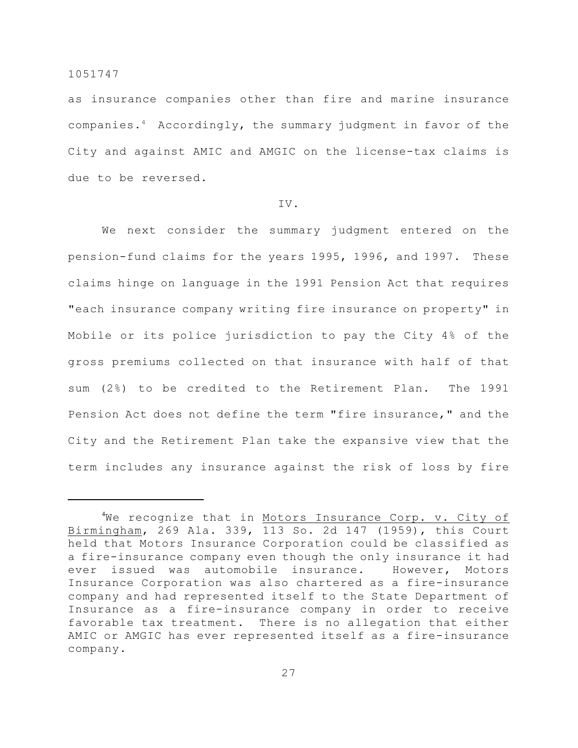as insurance companies other than fire and marine insurance companies. $4$  Accordingly, the summary judgment in favor of the City and against AMIC and AMGIC on the license-tax claims is due to be reversed.

## IV.

We next consider the summary judgment entered on the pension-fund claims for the years 1995, 1996, and 1997. These claims hinge on language in the 1991 Pension Act that requires "each insurance company writing fire insurance on property" in Mobile or its police jurisdiction to pay the City 4% of the gross premiums collected on that insurance with half of that sum (2%) to be credited to the Retirement Plan. The 1991 Pension Act does not define the term "fire insurance," and the City and the Retirement Plan take the expansive view that the term includes any insurance against the risk of loss by fire

 $4$ We recognize that in Motors Insurance Corp. v. City of Birmingham, 269 Ala. 339, 113 So. 2d 147 (1959), this Court held that Motors Insurance Corporation could be classified as a fire-insurance company even though the only insurance it had ever issued was automobile insurance. However, Motors Insurance Corporation was also chartered as a fire-insurance company and had represented itself to the State Department of Insurance as a fire-insurance company in order to receive favorable tax treatment. There is no allegation that either AMIC or AMGIC has ever represented itself as a fire-insurance company.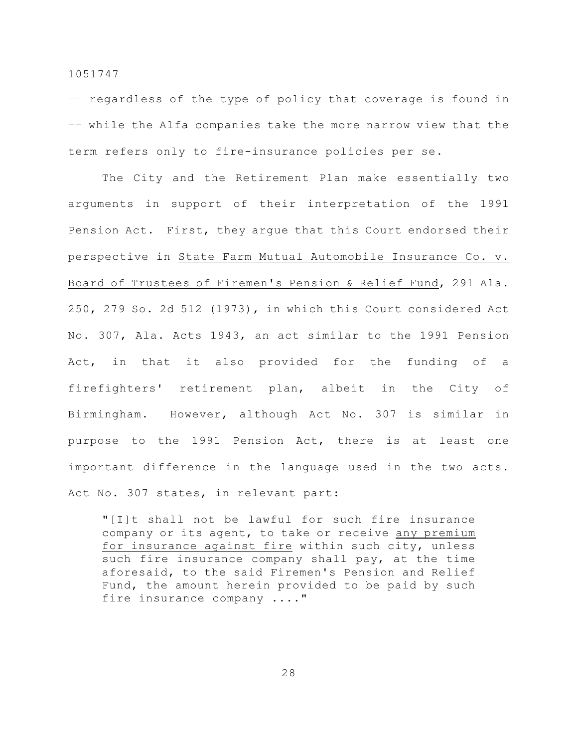–– regardless of the type of policy that coverage is found in –– while the Alfa companies take the more narrow view that the term refers only to fire-insurance policies per se.

The City and the Retirement Plan make essentially two arguments in support of their interpretation of the 1991 Pension Act. First, they argue that this Court endorsed their perspective in State Farm Mutual Automobile Insurance Co. v. Board of Trustees of Firemen's Pension & Relief Fund, 291 Ala. 250, 279 So. 2d 512 (1973), in which this Court considered Act No. 307, Ala. Acts 1943, an act similar to the 1991 Pension Act, in that it also provided for the funding of a firefighters' retirement plan, albeit in the City of Birmingham. However, although Act No. 307 is similar in purpose to the 1991 Pension Act, there is at least one important difference in the language used in the two acts. Act No. 307 states, in relevant part:

"[I]t shall not be lawful for such fire insurance company or its agent, to take or receive any premium for insurance against fire within such city, unless such fire insurance company shall pay, at the time aforesaid, to the said Firemen's Pension and Relief Fund, the amount herein provided to be paid by such fire insurance company ...."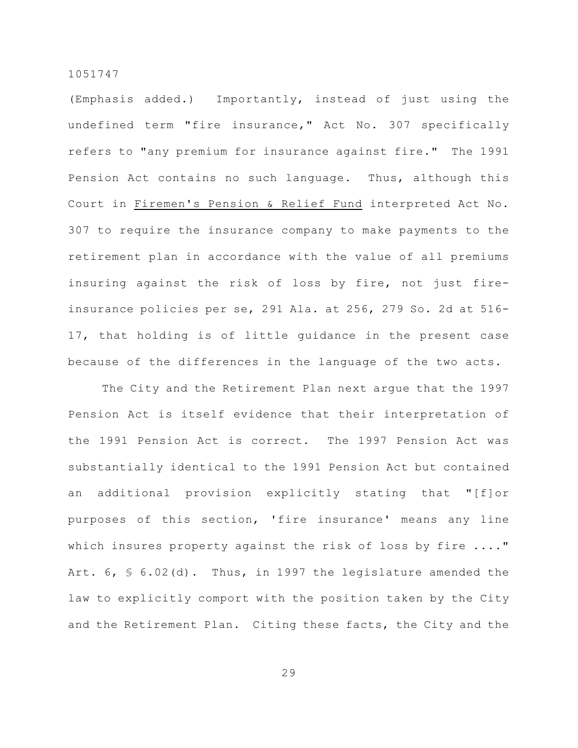(Emphasis added.) Importantly, instead of just using the undefined term "fire insurance," Act No. 307 specifically refers to "any premium for insurance against fire." The 1991 Pension Act contains no such language. Thus, although this Court in Firemen's Pension & Relief Fund interpreted Act No. 307 to require the insurance company to make payments to the retirement plan in accordance with the value of all premiums insuring against the risk of loss by fire, not just fireinsurance policies per se, 291 Ala. at 256, 279 So. 2d at 516- 17, that holding is of little guidance in the present case because of the differences in the language of the two acts.

The City and the Retirement Plan next argue that the 1997 Pension Act is itself evidence that their interpretation of the 1991 Pension Act is correct. The 1997 Pension Act was substantially identical to the 1991 Pension Act but contained an additional provision explicitly stating that "[f]or purposes of this section, 'fire insurance' means any line which insures property against the risk of loss by fire ...." Art. 6, § 6.02(d). Thus, in 1997 the legislature amended the law to explicitly comport with the position taken by the City and the Retirement Plan. Citing these facts, the City and the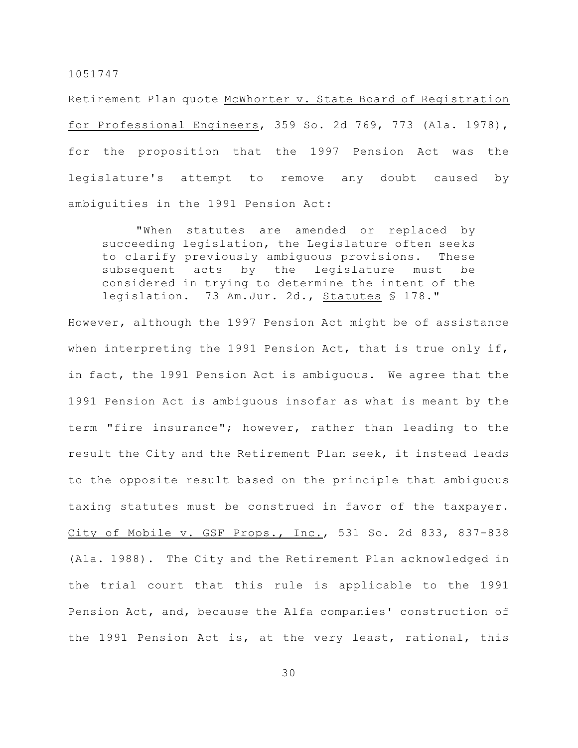Retirement Plan quote McWhorter v. State Board of Registration for Professional Engineers, 359 So. 2d 769, 773 (Ala. 1978), for the proposition that the 1997 Pension Act was the legislature's attempt to remove any doubt caused by ambiguities in the 1991 Pension Act:

"When statutes are amended or replaced by succeeding legislation, the Legislature often seeks to clarify previously ambiguous provisions. These subsequent acts by the legislature must be considered in trying to determine the intent of the legislation. 73 Am.Jur. 2d., Statutes § 178."

However, although the 1997 Pension Act might be of assistance when interpreting the 1991 Pension Act, that is true only if, in fact, the 1991 Pension Act is ambiguous. We agree that the 1991 Pension Act is ambiguous insofar as what is meant by the term "fire insurance"; however, rather than leading to the result the City and the Retirement Plan seek, it instead leads to the opposite result based on the principle that ambiguous taxing statutes must be construed in favor of the taxpayer. City of Mobile v. GSF Props., Inc., 531 So. 2d 833, 837-838 (Ala. 1988). The City and the Retirement Plan acknowledged in the trial court that this rule is applicable to the 1991 Pension Act, and, because the Alfa companies' construction of the 1991 Pension Act is, at the very least, rational, this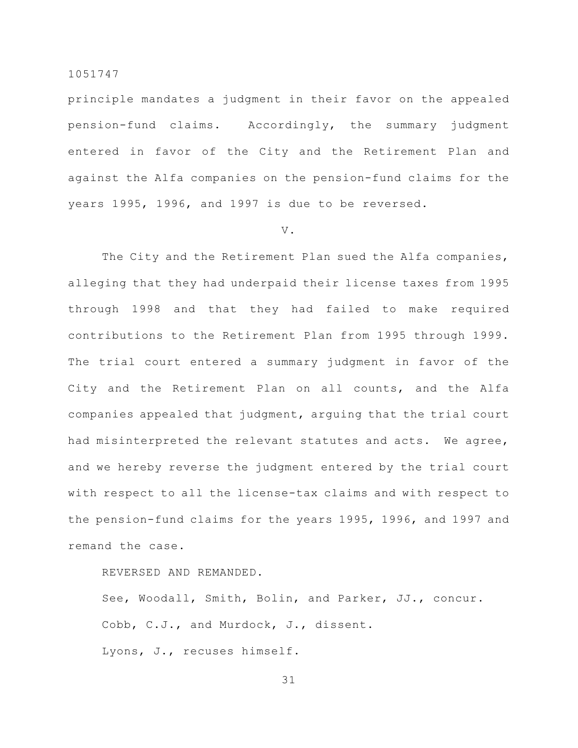principle mandates a judgment in their favor on the appealed pension-fund claims. Accordingly, the summary judgment entered in favor of the City and the Retirement Plan and against the Alfa companies on the pension-fund claims for the years 1995, 1996, and 1997 is due to be reversed.

#### V.

The City and the Retirement Plan sued the Alfa companies, alleging that they had underpaid their license taxes from 1995 through 1998 and that they had failed to make required contributions to the Retirement Plan from 1995 through 1999. The trial court entered a summary judgment in favor of the City and the Retirement Plan on all counts, and the Alfa companies appealed that judgment, arguing that the trial court had misinterpreted the relevant statutes and acts. We agree, and we hereby reverse the judgment entered by the trial court with respect to all the license-tax claims and with respect to the pension-fund claims for the years 1995, 1996, and 1997 and remand the case.

# REVERSED AND REMANDED.

See, Woodall, Smith, Bolin, and Parker, JJ., concur. Cobb, C.J., and Murdock, J., dissent. Lyons, J., recuses himself.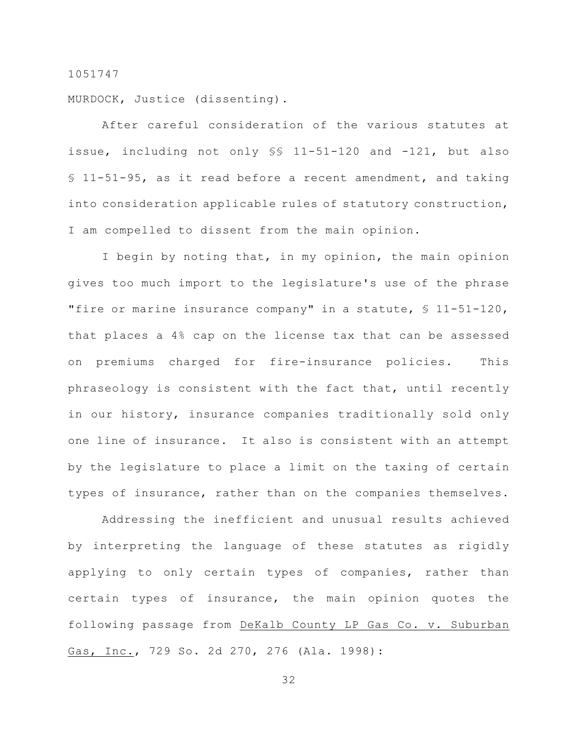MURDOCK, Justice (dissenting).

After careful consideration of the various statutes at issue, including not only §§ 11-51-120 and -121, but also § 11-51-95, as it read before a recent amendment, and taking into consideration applicable rules of statutory construction, I am compelled to dissent from the main opinion.

I begin by noting that, in my opinion, the main opinion gives too much import to the legislature's use of the phrase "fire or marine insurance company" in a statute, § 11-51-120, that places a 4% cap on the license tax that can be assessed on premiums charged for fire-insurance policies. This phraseology is consistent with the fact that, until recently in our history, insurance companies traditionally sold only one line of insurance. It also is consistent with an attempt by the legislature to place a limit on the taxing of certain types of insurance, rather than on the companies themselves.

Addressing the inefficient and unusual results achieved by interpreting the language of these statutes as rigidly applying to only certain types of companies, rather than certain types of insurance, the main opinion quotes the following passage from DeKalb County LP Gas Co. v. Suburban Gas, Inc., 729 So. 2d 270, 276 (Ala. 1998):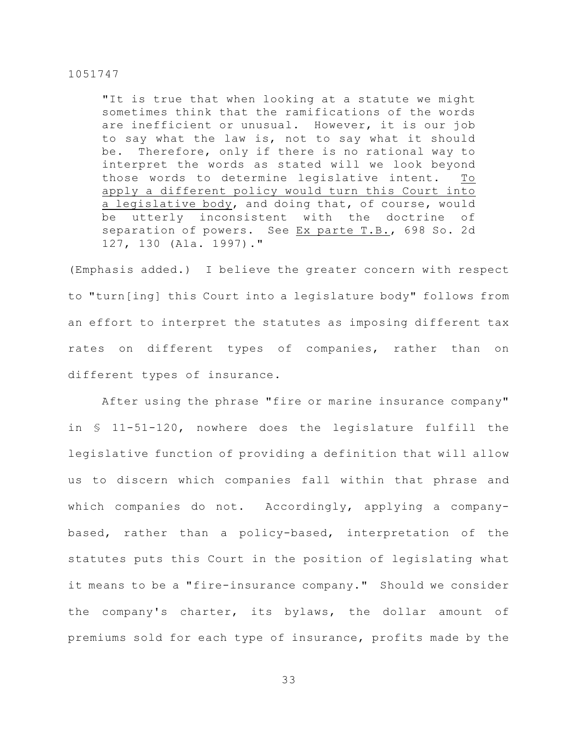"It is true that when looking at a statute we might sometimes think that the ramifications of the words are inefficient or unusual. However, it is our job to say what the law is, not to say what it should be. Therefore, only if there is no rational way to interpret the words as stated will we look beyond those words to determine legislative intent. To apply a different policy would turn this Court into a legislative body, and doing that, of course, would be utterly inconsistent with the doctrine of separation of powers. See Ex parte T.B., 698 So. 2d 127, 130 (Ala. 1997)."

(Emphasis added.) I believe the greater concern with respect to "turn[ing] this Court into a legislature body" follows from an effort to interpret the statutes as imposing different tax rates on different types of companies, rather than on different types of insurance.

After using the phrase "fire or marine insurance company" in § 11-51-120, nowhere does the legislature fulfill the legislative function of providing a definition that will allow us to discern which companies fall within that phrase and which companies do not. Accordingly, applying a companybased, rather than a policy-based, interpretation of the statutes puts this Court in the position of legislating what it means to be a "fire-insurance company." Should we consider the company's charter, its bylaws, the dollar amount of premiums sold for each type of insurance, profits made by the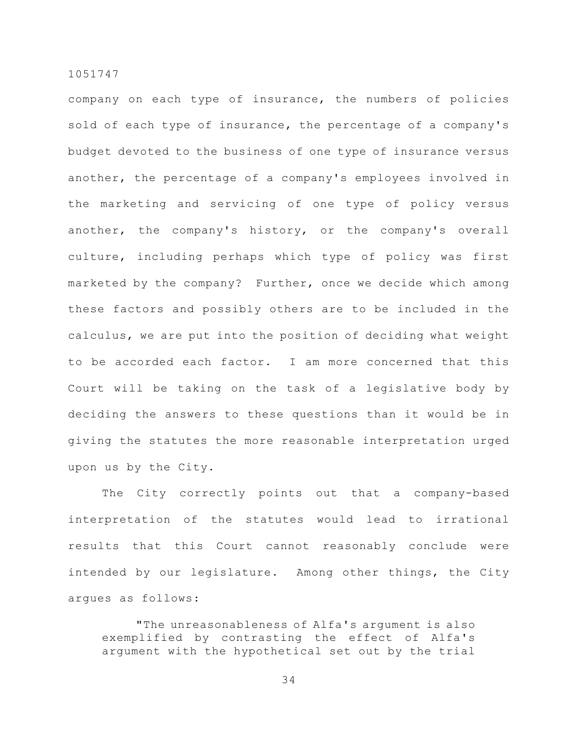company on each type of insurance, the numbers of policies sold of each type of insurance, the percentage of a company's budget devoted to the business of one type of insurance versus another, the percentage of a company's employees involved in the marketing and servicing of one type of policy versus another, the company's history, or the company's overall culture, including perhaps which type of policy was first marketed by the company? Further, once we decide which among these factors and possibly others are to be included in the calculus, we are put into the position of deciding what weight to be accorded each factor. I am more concerned that this Court will be taking on the task of a legislative body by deciding the answers to these questions than it would be in giving the statutes the more reasonable interpretation urged upon us by the City.

The City correctly points out that a company-based interpretation of the statutes would lead to irrational results that this Court cannot reasonably conclude were intended by our legislature. Among other things, the City argues as follows:

"The unreasonableness of Alfa's argument is also exemplified by contrasting the effect of Alfa's argument with the hypothetical set out by the trial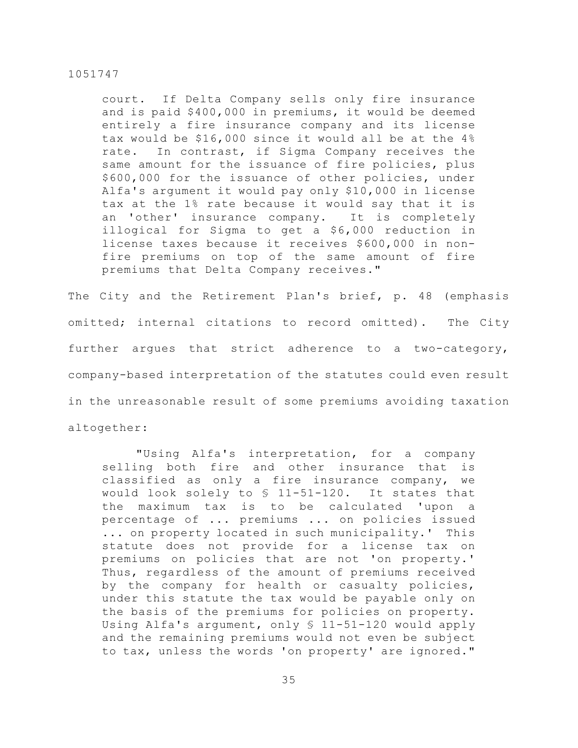court. If Delta Company sells only fire insurance and is paid \$400,000 in premiums, it would be deemed entirely a fire insurance company and its license tax would be \$16,000 since it would all be at the 4% rate. In contrast, if Sigma Company receives the same amount for the issuance of fire policies, plus \$600,000 for the issuance of other policies, under Alfa's argument it would pay only \$10,000 in license tax at the 1% rate because it would say that it is an 'other' insurance company. It is completely illogical for Sigma to get a \$6,000 reduction in license taxes because it receives \$600,000 in nonfire premiums on top of the same amount of fire premiums that Delta Company receives."

The City and the Retirement Plan's brief, p. 48 (emphasis omitted; internal citations to record omitted). The City further argues that strict adherence to a two-category, company-based interpretation of the statutes could even result in the unreasonable result of some premiums avoiding taxation altogether:

"Using Alfa's interpretation, for a company selling both fire and other insurance that is classified as only a fire insurance company, we would look solely to § 11-51-120. It states that the maximum tax is to be calculated 'upon a percentage of ... premiums ... on policies issued ... on property located in such municipality.' This statute does not provide for a license tax on premiums on policies that are not 'on property.' Thus, regardless of the amount of premiums received by the company for health or casualty policies, under this statute the tax would be payable only on the basis of the premiums for policies on property. Using Alfa's argument, only § 11-51-120 would apply and the remaining premiums would not even be subject to tax, unless the words 'on property' are ignored."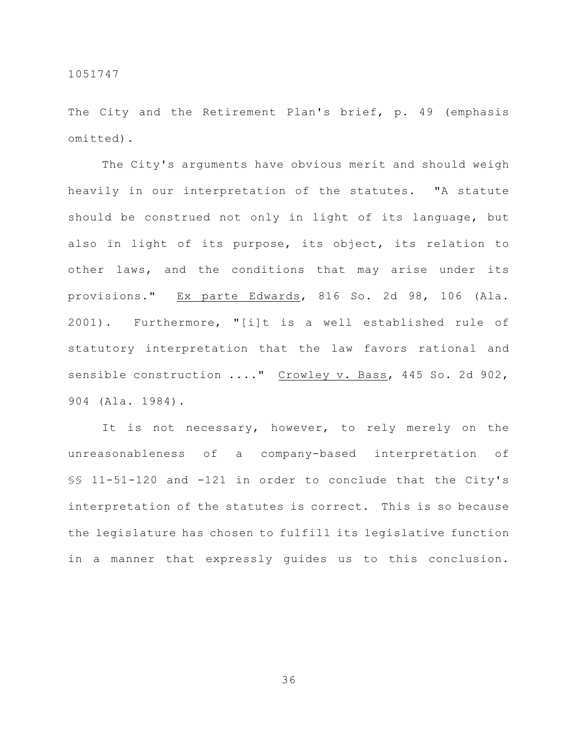The City and the Retirement Plan's brief, p. 49 (emphasis omitted).

The City's arguments have obvious merit and should weigh heavily in our interpretation of the statutes. "A statute should be construed not only in light of its language, but also in light of its purpose, its object, its relation to other laws, and the conditions that may arise under its provisions." Ex parte Edwards, 816 So. 2d 98, 106 (Ala. 2001). Furthermore, "[i]t is a well established rule of statutory interpretation that the law favors rational and sensible construction ...." Crowley v. Bass, 445 So. 2d 902, 904 (Ala. 1984).

It is not necessary, however, to rely merely on the unreasonableness of a company-based interpretation of §§ 11-51-120 and -121 in order to conclude that the City's interpretation of the statutes is correct. This is so because the legislature has chosen to fulfill its legislative function in a manner that expressly guides us to this conclusion.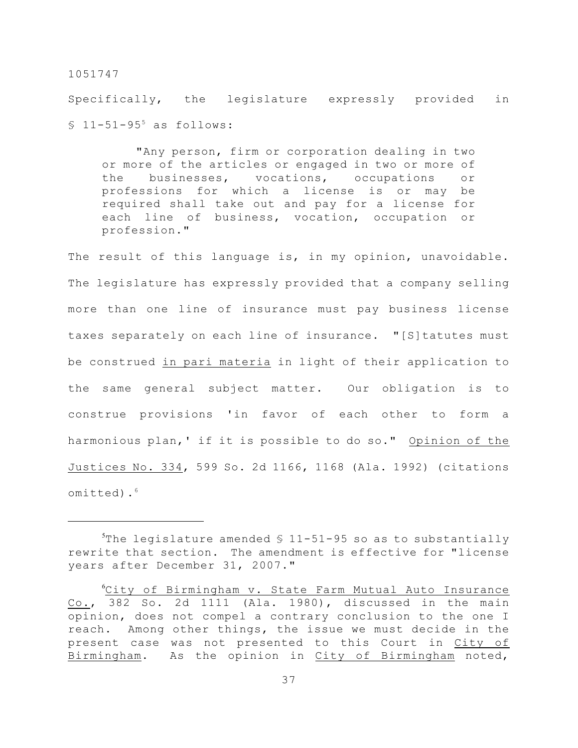Specifically, the legislature expressly provided in  $$11-51-95$ <sup>5</sup> as follows:

"Any person, firm or corporation dealing in two or more of the articles or engaged in two or more of the businesses, vocations, occupations or professions for which a license is or may be required shall take out and pay for a license for each line of business, vocation, occupation or profession."

The result of this language is, in my opinion, unavoidable. The legislature has expressly provided that a company selling more than one line of insurance must pay business license taxes separately on each line of insurance. "[S]tatutes must be construed in pari materia in light of their application to the same general subject matter. Our obligation is to construe provisions 'in favor of each other to form a harmonious plan,' if it is possible to do so." Opinion of the Justices No. 334, 599 So. 2d 1166, 1168 (Ala. 1992) (citations omitted).<sup>6</sup>

The legislature amended  $$11-51-95$  so as to substantially rewrite that section. The amendment is effective for "license years after December 31, 2007."

 $C$ ity of Birmingham v. State Farm Mutual Auto Insurance Co., 382 So. 2d 1111 (Ala. 1980), discussed in the main opinion, does not compel a contrary conclusion to the one I reach. Among other things, the issue we must decide in the present case was not presented to this Court in City of Birmingham. As the opinion in City of Birmingham noted,